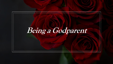# **Being a Godparent**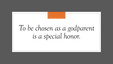# *To be chosen as a godparent is a special honor.*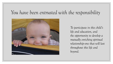### *You have been entrusted with the responsibility*



*To participate in this child's life and education, and the opportunity to develop a mutually enriching spiritual relationship--one that will last throughout this life and beyond.*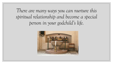*There are many ways you can nurture this spiritual relationship and become a special person in your godchild's life.*

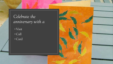*Celebrate the anniversary with a* 

**CONTRACTOR** 

◦Visit ◦ Call ◦ Card

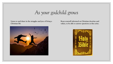*As your godchild grows*

**Listen to and share in the struggles and joys of living a Christian life**



**Keep yourself informed on Christian doctrine and values, to be able to answer questions as they arise.**

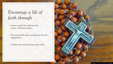# *Encourage a life of faith through*

- Letters or gifts that celebrate holy events…Christmas, Easter…
- Personal growth events: graduation, first job, engagement….
- Celebrate the small and big events of life

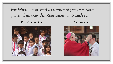Participate in or send assurance of prayer as your *godchild receives the other sacraments such as*

### **First Communion Confirmation**



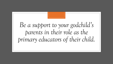# *Be a support to your godchild's parents in their role as the primary educators of their child.*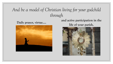## *And be a model of Christian living for your godchild through*



### **Daily prayer, virtue…. and active participation in the life of your parish.**

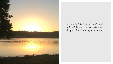

*By living a Christian life with your godchild, both of you will experience the great joy of sharing a life of faith.*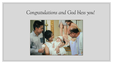## *Congratulations and God bless you!*